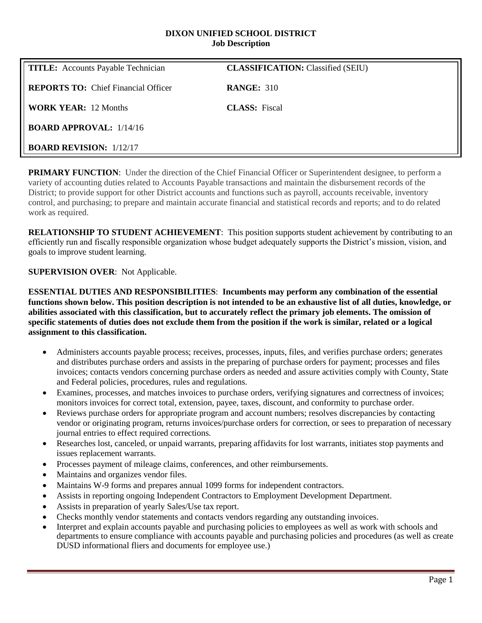#### **DIXON UNIFIED SCHOOL DISTRICT Job Description**

| <b>TITLE:</b> Accounts Payable Technician  | <b>CLASSIFICATION:</b> Classified (SEIU) |
|--------------------------------------------|------------------------------------------|
| <b>REPORTS TO:</b> Chief Financial Officer | <b>RANGE: 310</b>                        |
| <b>WORK YEAR: 12 Months</b>                | <b>CLASS:</b> Fiscal                     |
| <b>BOARD APPROVAL:</b> $1/14/16$           |                                          |
| <b>BOARD REVISION: 1/12/17</b>             |                                          |

**PRIMARY FUNCTION:** Under the direction of the Chief Financial Officer or Superintendent designee, to perform a variety of accounting duties related to Accounts Payable transactions and maintain the disbursement records of the District; to provide support for other District accounts and functions such as payroll, accounts receivable, inventory control, and purchasing; to prepare and maintain accurate financial and statistical records and reports; and to do related work as required.

**RELATIONSHIP TO STUDENT ACHIEVEMENT**: This position supports student achievement by contributing to an efficiently run and fiscally responsible organization whose budget adequately supports the District's mission, vision, and goals to improve student learning.

# **SUPERVISION OVER**: Not Applicable.

**ESSENTIAL DUTIES AND RESPONSIBILITIES**: **Incumbents may perform any combination of the essential functions shown below. This position description is not intended to be an exhaustive list of all duties, knowledge, or abilities associated with this classification, but to accurately reflect the primary job elements. The omission of specific statements of duties does not exclude them from the position if the work is similar, related or a logical assignment to this classification.**

- Administers accounts payable process; receives, processes, inputs, files, and verifies purchase orders; generates and distributes purchase orders and assists in the preparing of purchase orders for payment; processes and files invoices; contacts vendors concerning purchase orders as needed and assure activities comply with County, State and Federal policies, procedures, rules and regulations.
- Examines, processes, and matches invoices to purchase orders, verifying signatures and correctness of invoices; monitors invoices for correct total, extension, payee, taxes, discount, and conformity to purchase order.
- Reviews purchase orders for appropriate program and account numbers; resolves discrepancies by contacting vendor or originating program, returns invoices/purchase orders for correction, or sees to preparation of necessary journal entries to effect required corrections.
- Researches lost, canceled, or unpaid warrants, preparing affidavits for lost warrants, initiates stop payments and issues replacement warrants.
- Processes payment of mileage claims, conferences, and other reimbursements.
- Maintains and organizes vendor files.
- Maintains W-9 forms and prepares annual 1099 forms for independent contractors.
- Assists in reporting ongoing Independent Contractors to Employment Development Department.
- Assists in preparation of yearly Sales/Use tax report.
- Checks monthly vendor statements and contacts vendors regarding any outstanding invoices.
- Interpret and explain accounts payable and purchasing policies to employees as well as work with schools and departments to ensure compliance with accounts payable and purchasing policies and procedures (as well as create DUSD informational fliers and documents for employee use.)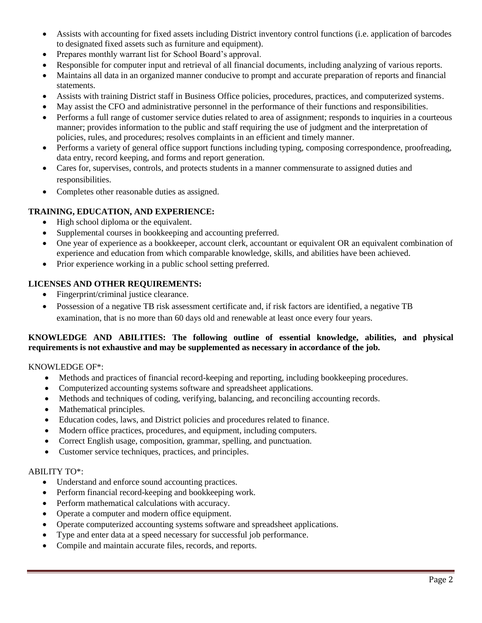- Assists with accounting for fixed assets including District inventory control functions (i.e. application of barcodes to designated fixed assets such as furniture and equipment).
- Prepares monthly warrant list for School Board's approval.
- Responsible for computer input and retrieval of all financial documents, including analyzing of various reports.
- Maintains all data in an organized manner conducive to prompt and accurate preparation of reports and financial statements.
- Assists with training District staff in Business Office policies, procedures, practices, and computerized systems.
- May assist the CFO and administrative personnel in the performance of their functions and responsibilities.
- Performs a full range of customer service duties related to area of assignment; responds to inquiries in a courteous manner; provides information to the public and staff requiring the use of judgment and the interpretation of policies, rules, and procedures; resolves complaints in an efficient and timely manner.
- Performs a variety of general office support functions including typing, composing correspondence, proofreading, data entry, record keeping, and forms and report generation.
- Cares for, supervises, controls, and protects students in a manner commensurate to assigned duties and responsibilities.
- Completes other reasonable duties as assigned.

### **TRAINING, EDUCATION, AND EXPERIENCE:**

- High school diploma or the equivalent.
- Supplemental courses in bookkeeping and accounting preferred.
- One year of experience as a bookkeeper, account clerk, accountant or equivalent OR an equivalent combination of experience and education from which comparable knowledge, skills, and abilities have been achieved.
- Prior experience working in a public school setting preferred.

### **LICENSES AND OTHER REQUIREMENTS:**

- Fingerprint/criminal justice clearance.
- Possession of a negative TB risk assessment certificate and, if risk factors are identified, a negative TB examination, that is no more than 60 days old and renewable at least once every four years.

### **KNOWLEDGE AND ABILITIES: The following outline of essential knowledge, abilities, and physical requirements is not exhaustive and may be supplemented as necessary in accordance of the job.**

KNOWLEDGE OF\*:

- Methods and practices of financial record-keeping and reporting, including bookkeeping procedures.
- Computerized accounting systems software and spreadsheet applications.
- Methods and techniques of coding, verifying, balancing, and reconciling accounting records.
- Mathematical principles.
- Education codes, laws, and District policies and procedures related to finance.
- Modern office practices, procedures, and equipment, including computers.
- Correct English usage, composition, grammar, spelling, and punctuation.
- Customer service techniques, practices, and principles.

# ABILITY TO\*:

- Understand and enforce sound accounting practices.
- Perform financial record-keeping and bookkeeping work.
- Perform mathematical calculations with accuracy.
- Operate a computer and modern office equipment.
- Operate computerized accounting systems software and spreadsheet applications.
- Type and enter data at a speed necessary for successful job performance.
- Compile and maintain accurate files, records, and reports.